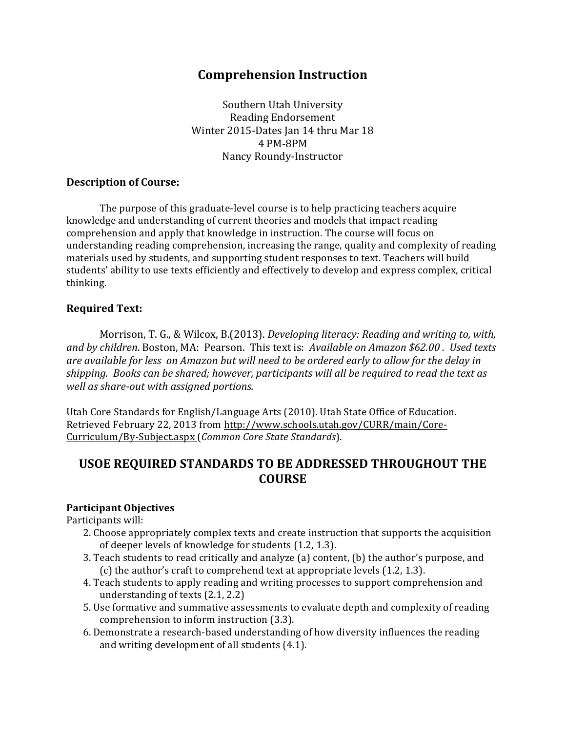# **Comprehension Instruction**

Southern Utah University Reading Endorsement Winter 2015-Dates Jan 14 thru Mar 18 4)PM:8PM Nancy Roundy-Instructor

## **Description of Course:**

The purpose of this graduate-level course is to help practicing teachers acquire knowledge and understanding of current theories and models that impact reading comprehension and apply that knowledge in instruction. The course will focus on understanding reading comprehension, increasing the range, quality and complexity of reading materials used by students, and supporting student responses to text. Teachers will build students' ability to use texts efficiently and effectively to develop and express complex, critical thinking.)

## **Required+Text:**

Morrison, T. G., & Wilcox, B.(2013). *Developing literacy: Reading and writing to, with, and\*by\*children*.)Boston,)MA:) Pearson.))This)text)is:))*Available\*on\*Amazon\*\$62.00\*.\*\*Used texts are\*available\*for\*less\* on\*Amazon but\*will\*need\*to\*be\*ordered\*early\*to\*allow\*for\*the\*delay\*in\* shipping.\*\*Books\*can\*be\*shared;\*however,\*participants\*will\*all\*be\*required\*to\*read\*the\*text\*as\** well as share-out with assigned portions.

Utah Core Standards for English/Language Arts (2010). Utah State Office of Education. Retrieved February 22, 2013 from http://www.schools.utah.gov/CURR/main/Core-Curriculum/By:Subject.aspx)(*Common\*Core\*State\*Standards*).

# USOE REQUIRED STANDARDS TO BE ADDRESSED THROUGHOUT THE **COURSE**

### **Participant+Objectives+**

Participants will:

- 2. Choose appropriately complex texts and create instruction that supports the acquisition of deeper levels of knowledge for students (1.2, 1.3).
- 3. Teach students to read critically and analyze (a) content, (b) the author's purpose, and (c) the author's craft to comprehend text at appropriate levels  $(1.2, 1.3)$ .
- 4. Teach students to apply reading and writing processes to support comprehension and understanding of texts  $(2.1, 2.2)$
- 5. Use formative and summative assessments to evaluate depth and complexity of reading comprehension to inform instruction (3.3).
- 6. Demonstrate a research-based understanding of how diversity influences the reading and writing development of all students  $(4.1)$ .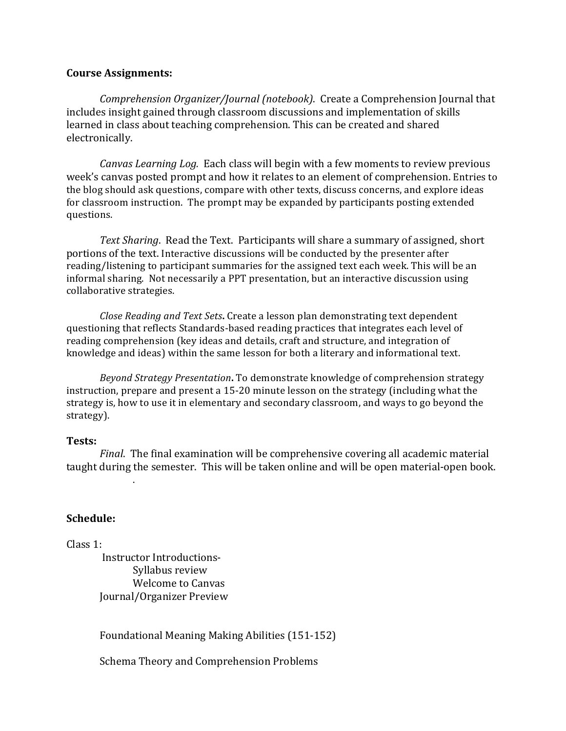#### **Course+Assignments:**

*Comprehension Organizer/Journal (notebook)*. Create a Comprehension Journal that includes insight gained through classroom discussions and implementation of skills learned in class about teaching comprehension. This can be created and shared electronically.

*Canvas Learning Log.* Each class will begin with a few moments to review previous week's canvas posted prompt and how it relates to an element of comprehension. Entries to the blog should ask questions, compare with other texts, discuss concerns, and explore ideas for classroom instruction. The prompt may be expanded by participants posting extended questions.

*Text Sharing*. Read the Text. Participants will share a summary of assigned, short portions of the text. Interactive discussions will be conducted by the presenter after reading/listening to participant summaries for the assigned text each week. This will be an informal sharing. Not necessarily a PPT presentation, but an interactive discussion using collaborative strategies.

*Close Reading and Text Sets.* Create a lesson plan demonstrating text dependent questioning that reflects Standards-based reading practices that integrates each level of reading comprehension (key ideas and details, craft and structure, and integration of knowledge and ideas) within the same lesson for both a literary and informational text.

*Beyond Strategy Presentation*. To demonstrate knowledge of comprehension strategy instruction, prepare and present a 15-20 minute lesson on the strategy (including what the strategy is, how to use it in elementary and secondary classroom, and ways to go beyond the strategy).

#### **Tests:**

*Final.* The final examination will be comprehensive covering all academic material taught during the semester. This will be taken online and will be open material-open book.

#### **Schedule:**

Class 1:

Instructor Introductions-Syllabus review Welcome to Canvas Journal/Organizer Preview

.)

Foundational Meaning Making Abilities (151-152)

Schema Theory and Comprehension Problems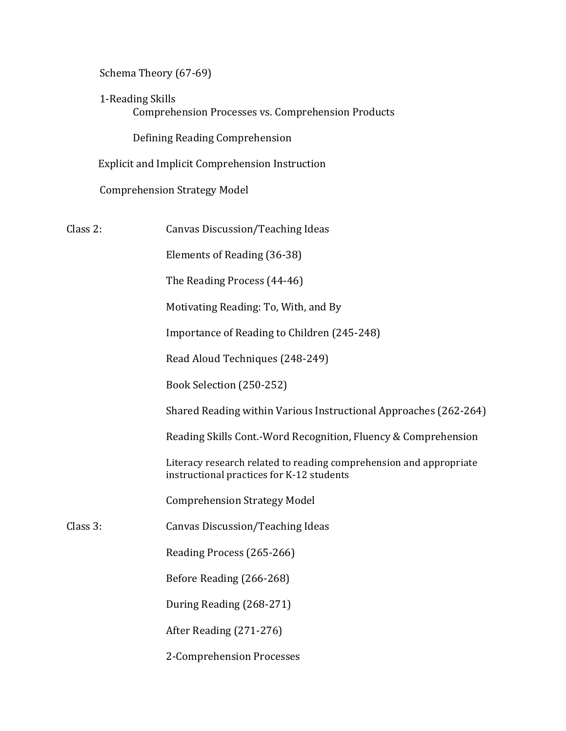Schema Theory (67-69)

1-Reading Skills Comprehension Processes vs. Comprehension Products

Defining Reading Comprehension

)))))))))))) Explicit)and)Implicit)Comprehension)Instruction

Comprehension Strategy Model

Class 2: Canvas Discussion/Teaching Ideas

Elements of Reading (36-38)

The Reading Process (44-46)

Motivating Reading: To, With, and By

Importance of Reading to Children (245-248)

Read Aloud Techniques (248-249)

Book Selection (250-252)

Shared Reading within Various Instructional Approaches (262-264)

Reading Skills Cont.-Word Recognition, Fluency & Comprehension

Literacy research related to reading comprehension and appropriate instructional practices for K-12 students

Comprehension Strategy Model

Class 3: Canvas Discussion/Teaching Ideas

Reading Process (265-266)

Before Reading (266-268)

During Reading (268-271)

After Reading (271-276)

2-Comprehension Processes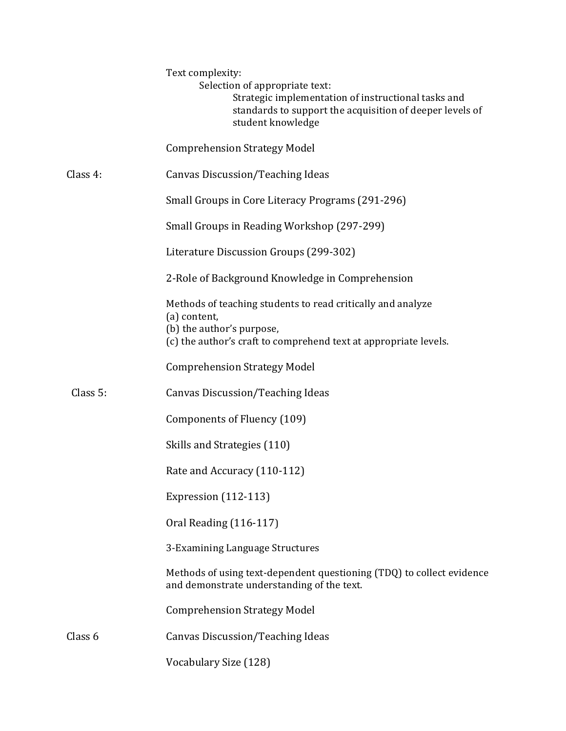|          | Text complexity:<br>Selection of appropriate text:<br>Strategic implementation of instructional tasks and<br>standards to support the acquisition of deeper levels of<br>student knowledge |
|----------|--------------------------------------------------------------------------------------------------------------------------------------------------------------------------------------------|
|          | <b>Comprehension Strategy Model</b>                                                                                                                                                        |
| Class 4: | Canvas Discussion/Teaching Ideas                                                                                                                                                           |
|          | Small Groups in Core Literacy Programs (291-296)                                                                                                                                           |
|          | Small Groups in Reading Workshop (297-299)                                                                                                                                                 |
|          | Literature Discussion Groups (299-302)                                                                                                                                                     |
|          | 2-Role of Background Knowledge in Comprehension                                                                                                                                            |
|          | Methods of teaching students to read critically and analyze<br>(a) content,<br>(b) the author's purpose,<br>(c) the author's craft to comprehend text at appropriate levels.               |
|          | <b>Comprehension Strategy Model</b>                                                                                                                                                        |
| Class 5: | Canvas Discussion/Teaching Ideas                                                                                                                                                           |
|          | Components of Fluency (109)                                                                                                                                                                |
|          | Skills and Strategies (110)                                                                                                                                                                |
|          | Rate and Accuracy (110-112)                                                                                                                                                                |
|          | Expression (112-113)                                                                                                                                                                       |
|          | Oral Reading (116-117)                                                                                                                                                                     |
|          | 3-Examining Language Structures                                                                                                                                                            |
|          | Methods of using text-dependent questioning (TDQ) to collect evidence<br>and demonstrate understanding of the text.                                                                        |
|          | <b>Comprehension Strategy Model</b>                                                                                                                                                        |
| Class 6  | Canvas Discussion/Teaching Ideas                                                                                                                                                           |
|          | Vocabulary Size (128)                                                                                                                                                                      |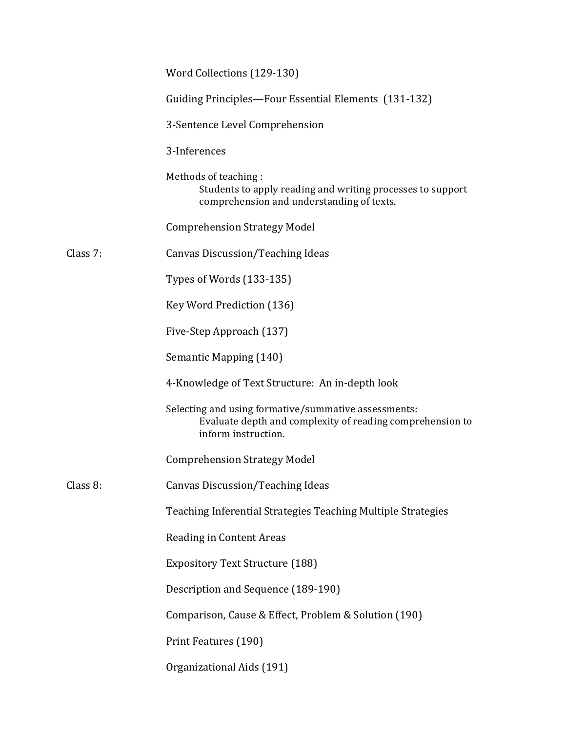|          | Word Collections (129-130)                                                                                                               |  |
|----------|------------------------------------------------------------------------------------------------------------------------------------------|--|
|          | Guiding Principles-Four Essential Elements (131-132)                                                                                     |  |
|          | 3-Sentence Level Comprehension                                                                                                           |  |
|          | 3-Inferences                                                                                                                             |  |
|          | Methods of teaching:<br>Students to apply reading and writing processes to support<br>comprehension and understanding of texts.          |  |
|          | <b>Comprehension Strategy Model</b>                                                                                                      |  |
| Class 7: | Canvas Discussion/Teaching Ideas                                                                                                         |  |
|          | Types of Words (133-135)                                                                                                                 |  |
|          | Key Word Prediction (136)                                                                                                                |  |
|          | Five-Step Approach (137)                                                                                                                 |  |
|          | Semantic Mapping (140)                                                                                                                   |  |
|          | 4-Knowledge of Text Structure: An in-depth look                                                                                          |  |
|          | Selecting and using formative/summative assessments:<br>Evaluate depth and complexity of reading comprehension to<br>inform instruction. |  |
|          | <b>Comprehension Strategy Model</b>                                                                                                      |  |
| Class 8: | Canvas Discussion/Teaching Ideas                                                                                                         |  |
|          | Teaching Inferential Strategies Teaching Multiple Strategies                                                                             |  |
|          | Reading in Content Areas                                                                                                                 |  |
|          | <b>Expository Text Structure (188)</b>                                                                                                   |  |
|          | Description and Sequence (189-190)                                                                                                       |  |
|          | Comparison, Cause & Effect, Problem & Solution (190)                                                                                     |  |
|          | Print Features (190)                                                                                                                     |  |
|          | Organizational Aids (191)                                                                                                                |  |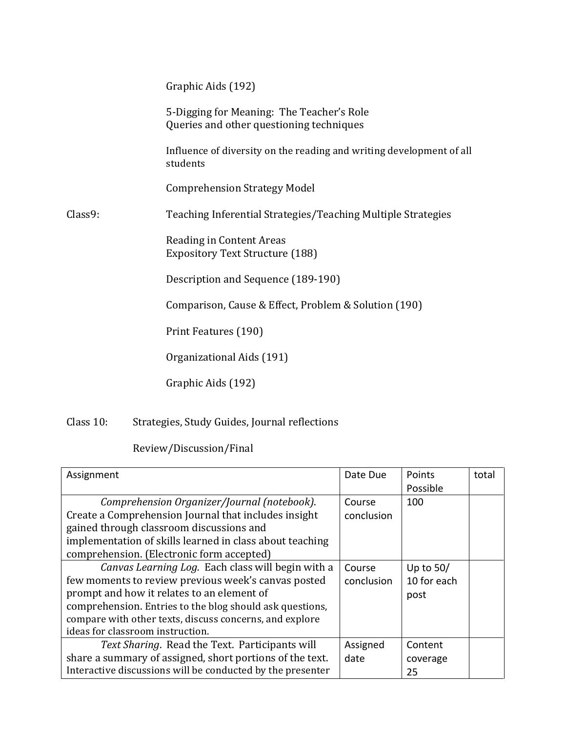|         | Graphic Aids (192)                                                                    |
|---------|---------------------------------------------------------------------------------------|
|         | 5-Digging for Meaning: The Teacher's Role<br>Queries and other questioning techniques |
|         | Influence of diversity on the reading and writing development of all<br>students      |
|         | <b>Comprehension Strategy Model</b>                                                   |
| Class9: | Teaching Inferential Strategies/Teaching Multiple Strategies                          |
|         | Reading in Content Areas<br><b>Expository Text Structure (188)</b>                    |
|         | Description and Sequence (189-190)                                                    |
|         | Comparison, Cause & Effect, Problem & Solution (190)                                  |
|         | Print Features (190)                                                                  |
|         | Organizational Aids (191)                                                             |
|         | Graphic Aids (192)                                                                    |

Class 10: Strategies, Study Guides, Journal reflections

Review/Discussion/Final

| Assignment                                                 | Date Due   | Points      | total |
|------------------------------------------------------------|------------|-------------|-------|
|                                                            |            | Possible    |       |
| Comprehension Organizer/Journal (notebook).                | Course     | 100         |       |
| Create a Comprehension Journal that includes insight       | conclusion |             |       |
| gained through classroom discussions and                   |            |             |       |
| implementation of skills learned in class about teaching   |            |             |       |
| comprehension. (Electronic form accepted)                  |            |             |       |
| Canvas Learning Log. Each class will begin with a          | Course     | Up to $50/$ |       |
| few moments to review previous week's canvas posted        | conclusion | 10 for each |       |
| prompt and how it relates to an element of                 |            | post        |       |
| comprehension. Entries to the blog should ask questions,   |            |             |       |
| compare with other texts, discuss concerns, and explore    |            |             |       |
| ideas for classroom instruction.                           |            |             |       |
| Text Sharing. Read the Text. Participants will             | Assigned   | Content     |       |
| share a summary of assigned, short portions of the text.   | date       | coverage    |       |
| Interactive discussions will be conducted by the presenter |            | 25          |       |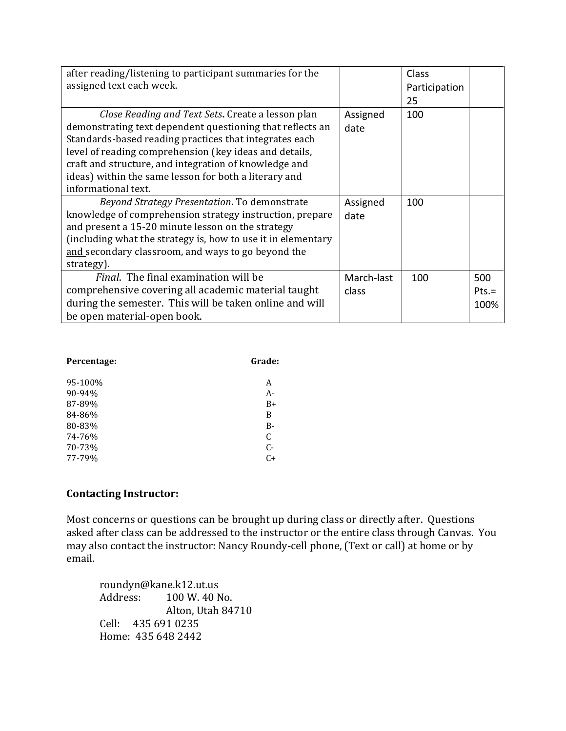| after reading/listening to participant summaries for the     |            | Class         |         |
|--------------------------------------------------------------|------------|---------------|---------|
| assigned text each week.                                     |            | Participation |         |
|                                                              |            | 25            |         |
| Close Reading and Text Sets. Create a lesson plan            | Assigned   | 100           |         |
| demonstrating text dependent questioning that reflects an    | date       |               |         |
| Standards-based reading practices that integrates each       |            |               |         |
| level of reading comprehension (key ideas and details,       |            |               |         |
| craft and structure, and integration of knowledge and        |            |               |         |
| ideas) within the same lesson for both a literary and        |            |               |         |
| informational text.                                          |            |               |         |
| Beyond Strategy Presentation. To demonstrate                 | Assigned   | 100           |         |
| knowledge of comprehension strategy instruction, prepare     | date       |               |         |
| and present a 15-20 minute lesson on the strategy            |            |               |         |
| (including what the strategy is, how to use it in elementary |            |               |         |
| and secondary classroom, and ways to go beyond the           |            |               |         |
| strategy).                                                   |            |               |         |
| <i>Final.</i> The final examination will be                  | March-last | 100           | 500     |
| comprehensive covering all academic material taught          | class      |               | $Pts =$ |
| during the semester. This will be taken online and will      |            |               | 100%    |
| be open material-open book.                                  |            |               |         |

| Percentage: | Grade: |  |
|-------------|--------|--|
| 95-100%     | A      |  |
| 90-94%      | $A -$  |  |
| 87-89%      | $B+$   |  |
| 84-86%      | B      |  |
| 80-83%      | $B -$  |  |
| 74-76%      | C      |  |
| 70-73%      | $C-$   |  |
| 77-79%      | $C+$   |  |

# **Contacting Instructor:**

Most concerns or questions can be brought up during class or directly after. Questions asked after class can be addressed to the instructor or the entire class through Canvas. You may also contact the instructor: Nancy Roundy-cell phone, (Text or call) at home or by email.

roundyn@kane.k12.ut.us Address: 100 W. 40 No. Alton, Utah 84710 Cell: 435 691 0235 Home: 435 648 2442